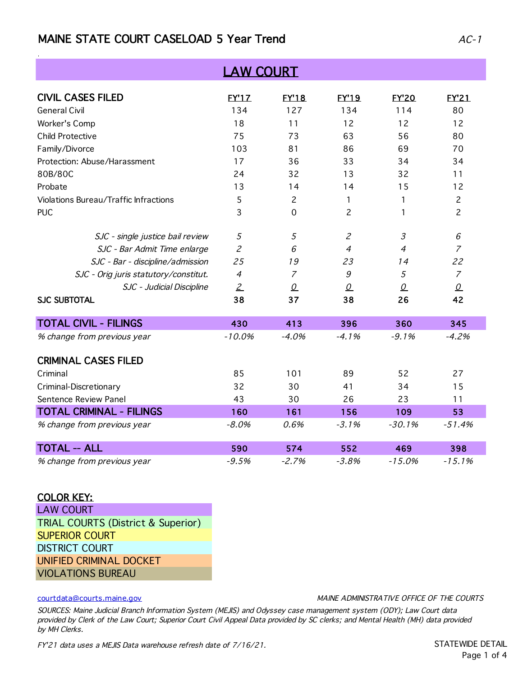# MAINE STATE COURT CASELOAD 5 Year Trend  $AC-1$

| <b>LAW COURT</b>                      |                |                |                             |                |                |
|---------------------------------------|----------------|----------------|-----------------------------|----------------|----------------|
| <b>CIVIL CASES FILED</b>              | <b>EY'17</b>   | <b>EY'18</b>   | <b>EY'19</b>                | <b>EY'20</b>   | <b>EY'21</b>   |
| <b>General Civil</b>                  | 134            | 127            | 134                         | 114            | 80             |
| Worker's Comp                         | 18             | 11             | 12                          | 12             | 12             |
| <b>Child Protective</b>               | 75             | 73             | 63                          | 56             | 80             |
| Family/Divorce                        | 103            | 81             | 86                          | 69             | 70             |
| Protection: Abuse/Harassment          | 17             | 36             | 33                          | 34             | 34             |
| 80B/80C                               | 24             | 32             | 13                          | 32             | 11             |
| Probate                               | 13             | 14             | 14                          | 15             | 12             |
| Violations Bureau/Traffic Infractions | 5              | $\overline{c}$ | 1                           | 1              | $\overline{c}$ |
| <b>PUC</b>                            | 3              | $\mathbf 0$    | 2                           | 1              | $\overline{c}$ |
| SJC - single justice bail review      | 5              | 5              | $\mathcal{Z}_{\mathcal{C}}$ | $\mathfrak{Z}$ | 6              |
| SJC - Bar Admit Time enlarge          | $\overline{c}$ | 6              | $\overline{4}$              | $\overline{4}$ | $\overline{7}$ |
| SJC - Bar - discipline/admission      | 25             | 19             | 23                          | 14             | 22             |
| SJC - Orig juris statutory/constitut. | $\overline{4}$ | $\overline{7}$ | $\mathcal G$                | 5              | $\overline{7}$ |
| SJC - Judicial Discipline             | $\mathbf{2}$   | $\Omega$       | $\Omega$                    | $\Omega$       | $\Omega$       |
| <b>SJC SUBTOTAL</b>                   | 38             | 37             | 38                          | 26             | 42             |
| <b>TOTAL CIVIL - FILINGS</b>          | 430            | 413            | 396                         | 360            | 345            |
| % change from previous year           | $-10.0%$       | $-4.0%$        | $-4.1%$                     | $-9.1%$        | $-4.2%$        |
| <b>CRIMINAL CASES FILED</b>           |                |                |                             |                |                |
| Criminal                              | 85             | 101            | 89                          | 52             | 27             |
| Criminal-Discretionary                | 32             | 30             | 41                          | 34             | 15             |
| Sentence Review Panel                 | 43             | 30             | 26                          | 23             | 11             |
| <b>TOTAL CRIMINAL - FILINGS</b>       | 160            | 161            | 156                         | 109            | 53             |
| % change from previous year           | $-8.0%$        | 0.6%           | $-3.1%$                     | $-30.1%$       | $-51.4%$       |
| <b>TOTAL -- ALL</b>                   | 590            | 574            | 552                         | 469            | 398            |
| % change from previous year           | $-9.5%$        | $-2.7%$        | $-3.8%$                     | $-15.0%$       | $-15.1%$       |

### COLOR KEY:

LAW COURT TRIAL COURTS (District & Superior) SUPERIOR COURT DISTRICT COURT UNIFIED CRIMINAL DOCKET VIOLATIONS BUREAU

### courtdata@courts.maine.gov

MAINE ADMINISTRATIVE OFFICE OF THE COURTS

SOURCES: Maine Judicial Branch Information System (MEJIS) and Odyssey case management system (ODY); Law Court data provided by Clerk of the Law Court; Superior Court Civil Appeal Data provided by SC clerks; and Mental Health (MH) data provided by MH Clerks.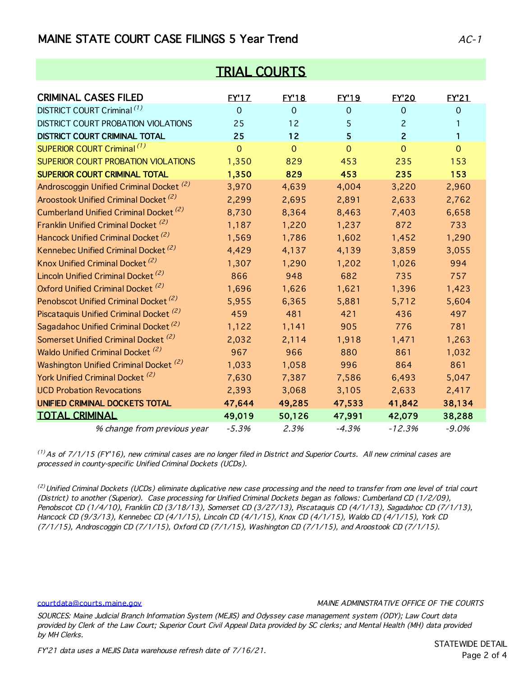# MAINE STATE COURT CASE FILINGS 5 Year Trend  $AC-1$

| <b>TRIAL COURTS</b>                                 |                |                |                |                |                |
|-----------------------------------------------------|----------------|----------------|----------------|----------------|----------------|
| <b>CRIMINAL CASES FILED</b>                         | <b>EY'1Z</b>   | <b>EY'18</b>   | <b>EY'19</b>   | <b>EY'20</b>   | <b>FY'21</b>   |
| DISTRICT COURT Criminal <sup>(1)</sup>              | $\overline{0}$ | $\Omega$       | $\overline{0}$ | $\Omega$       | $\Omega$       |
| DISTRICT COURT PROBATION VIOLATIONS                 | 25             | 12             | 5              | $\overline{c}$ | 1              |
| DISTRICT COURT CRIMINAL TOTAL                       | 25             | 12             | 5              | $\overline{2}$ | $\mathbf{1}$   |
| SUPERIOR COURT Criminal (1)                         | $\overline{0}$ | $\overline{O}$ | $\overline{0}$ | $\overline{0}$ | $\overline{O}$ |
| <b>SUPERIOR COURT PROBATION VIOLATIONS</b>          | 1,350          | 829            | 453            | 235            | 153            |
| <b>SUPERIOR COURT CRIMINAL TOTAL</b>                | 1,350          | 829            | 453            | 235            | 153            |
| Androscoggin Unified Criminal Docket <sup>(2)</sup> | 3,970          | 4,639          | 4,004          | 3,220          | 2,960          |
| Aroostook Unified Criminal Docket <sup>(2)</sup>    | 2,299          | 2,695          | 2,891          | 2,633          | 2,762          |
| Cumberland Unified Criminal Docket <sup>(2)</sup>   | 8,730          | 8,364          | 8,463          | 7,403          | 6,658          |
| Franklin Unified Criminal Docket <sup>(2)</sup>     | 1,187          | 1,220          | 1,237          | 872            | 733            |
| Hancock Unified Criminal Docket <sup>(2)</sup>      | 1,569          | 1,786          | 1,602          | 1,452          | 1,290          |
| Kennebec Unified Criminal Docket <sup>(2)</sup>     | 4,429          | 4,137          | 4,139          | 3,859          | 3,055          |
| Knox Unified Criminal Docket <sup>(2)</sup>         | 1,307          | 1,290          | 1,202          | 1,026          | 994            |
| Lincoln Unified Criminal Docket <sup>(2)</sup>      | 866            | 948            | 682            | 735            | 757            |
| Oxford Unified Criminal Docket <sup>(2)</sup>       | 1,696          | 1,626          | 1,621          | 1,396          | 1,423          |
| Penobscot Unified Criminal Docket <sup>(2)</sup>    | 5,955          | 6,365          | 5,881          | 5,712          | 5,604          |
| Piscataquis Unified Criminal Docket <sup>(2)</sup>  | 459            | 481            | 421            | 436            | 497            |
| Sagadahoc Unified Criminal Docket <sup>(2)</sup>    | 1,122          | 1,141          | 905            | 776            | 781            |
| Somerset Unified Criminal Docket <sup>(2)</sup>     | 2,032          | 2,114          | 1,918          | 1,471          | 1,263          |
| Waldo Unified Criminal Docket <sup>(2)</sup>        | 967            | 966            | 880            | 861            | 1,032          |
| Washington Unified Criminal Docket <sup>(2)</sup>   | 1,033          | 1,058          | 996            | 864            | 861            |
| York Unified Criminal Docket <sup>(2)</sup>         | 7,630          | 7,387          | 7,586          | 6,493          | 5,047          |
| <b>UCD Probation Revocations</b>                    | 2,393          | 3,068          | 3,105          | 2,633          | 2,417          |
| UNIFIED CRIMINAL DOCKETS TOTAL                      | 47,644         | 49,285         | 47,533         | 41,842         | 38,134         |
| <b>TOTAL CRIMINAL</b>                               | 49,019         | 50,126         | 47,991         | 42,079         | 38,288         |
| % change from previous year                         | $-5.3%$        | 2.3%           | $-4.3%$        | $-12.3%$       | $-9.0%$        |

 $<sup>(1)</sup>$  As of 7/1/15 (FY'16), new criminal cases are no longer filed in District and Superior Courts. All new criminal cases are</sup> processed in county-specific Unified Criminal Dockets (UCDs).

<sup>(2)</sup> Unified Criminal Dockets (UCDs) eliminate duplicative new case processing and the need to transfer from one level of trial court (District) to another (Superior). Case processing for Unified Criminal Dockets began as follows: Cumberland CD (1/2/09), Penobscot CD (1/4/10), Franklin CD (3/18/13), Somerset CD (3/27/13), Piscataquis CD (4/1/13), Sagadahoc CD (7/1/13), Hancock CD (9/3/13), Kennebec CD (4/1/15), Lincoln CD (4/1/15), Knox CD (4/1/15), Waldo CD (4/1/15), York CD (7/1/15), Androscoggin CD (7/1/15), Oxford CD (7/1/15), Washington CD (7/1/15), and Aroostook CD (7/1/15).

#### courtdata@courts.maine.gov

### MAINE ADMINISTRATIVE OFFICE OF THE COURTS

SOURCES: Maine Judicial Branch Information System (MEJIS) and Odyssey case management system (ODY); Law Court data provided by Clerk of the Law Court; Superior Court Civil Appeal Data provided by SC clerks; and Mental Health (MH) data provided by MH Clerks.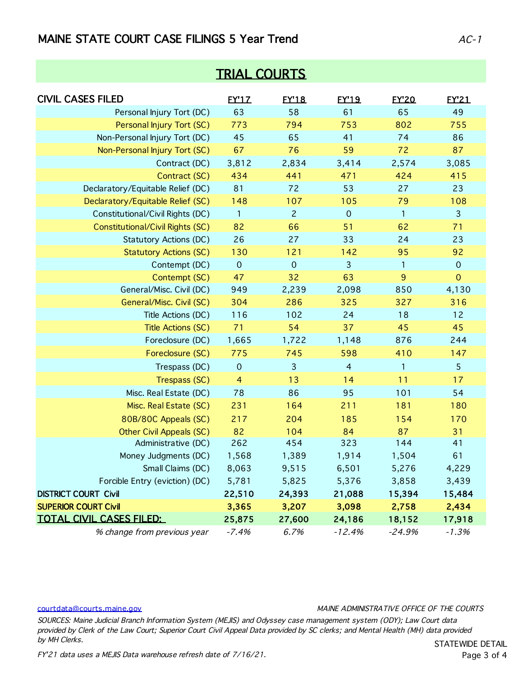### MAINE STATE COURT CASE FILINGS 5 Year Trend  $AC-1$

| <b>TRIAL COURTS</b>               |                |                |                |              |                     |  |  |
|-----------------------------------|----------------|----------------|----------------|--------------|---------------------|--|--|
| <b>CIVIL CASES FILED</b>          | <b>EY'1Z</b>   | <b>EY'18</b>   | <b>EY'19</b>   | <b>EY'20</b> | <b>EY'21</b>        |  |  |
| Personal Injury Tort (DC)         | 63             | 58             | 61             | 65           | 49                  |  |  |
| Personal Injury Tort (SC)         | 773            | 794            | 753            | 802          | 755                 |  |  |
| Non-Personal Injury Tort (DC)     | 45             | 65             | 41             | 74           | 86                  |  |  |
| Non-Personal Injury Tort (SC)     | 67             | 76             | 59             | 72           | 87                  |  |  |
| Contract (DC)                     | 3,812          | 2,834          | 3,414          | 2,574        | 3,085               |  |  |
| Contract (SC)                     | 434            | 441            | 471            | 424          | 415                 |  |  |
| Declaratory/Equitable Relief (DC) | 81             | 72             | 53             | 27           | 23                  |  |  |
| Declaratory/Equitable Relief (SC) | 148            | 107            | 105            | 79           | 108                 |  |  |
| Constitutional/Civil Rights (DC)  | $\overline{1}$ | $\overline{c}$ | $\mathbf 0$    | 1            | 3                   |  |  |
| Constitutional/Civil Rights (SC)  | 82             | 66             | 51             | 62           | 71                  |  |  |
| <b>Statutory Actions (DC)</b>     | 26             | 27             | 33             | 24           | 23                  |  |  |
| <b>Statutory Actions (SC)</b>     | 130            | 121            | 142            | 95           | 92                  |  |  |
| Contempt (DC)                     | $\mathbf 0$    | $\mathbf 0$    | $\mathbf{3}$   | 1            | $\boldsymbol{0}$    |  |  |
| Contempt (SC)                     | 47             | 32             | 63             | 9            | $\mathsf{O}\xspace$ |  |  |
| General/Misc. Civil (DC)          | 949            | 2,239          | 2,098          | 850          | 4,130               |  |  |
| General/Misc. Civil (SC)          | 304            | 286            | 325            | 327          | 316                 |  |  |
| Title Actions (DC)                | 116            | 102            | 24             | 18           | 12                  |  |  |
| <b>Title Actions (SC)</b>         | 71             | 54             | 37             | 45           | 45                  |  |  |
| Foreclosure (DC)                  | 1,665          | 1,722          | 1,148          | 876          | 244                 |  |  |
| Foreclosure (SC)                  | 775            | 745            | 598            | 410          | 147                 |  |  |
| Trespass (DC)                     | $\mathbf 0$    | 3              | $\overline{4}$ | 1            | 5                   |  |  |
| Trespass (SC)                     | $\overline{4}$ | 13             | 14             | 11           | 17                  |  |  |
| Misc. Real Estate (DC)            | 78             | 86             | 95             | 101          | 54                  |  |  |
| Misc. Real Estate (SC)            | 231            | 164            | 211            | 181          | 180                 |  |  |
| 80B/80C Appeals (SC)              | 217            | 204            | 185            | 154          | 170                 |  |  |
| <b>Other Civil Appeals (SC)</b>   | 82             | 104            | 84             | 87           | 31                  |  |  |
| Administrative (DC)               | 262            | 454            | 323            | 144          | 41                  |  |  |
| Money Judgments (DC)              | 1,568          | 1,389          | 1,914          | 1,504        | 61                  |  |  |
| Small Claims (DC)                 | 8,063          | 9,515          | 6,501          | 5,276        | 4,229               |  |  |
| Forcible Entry (eviction) (DC)    | 5,781          | 5,825          | 5,376          | 3,858        | 3,439               |  |  |
| <b>DISTRICT COURT Civil</b>       | 22,510         | 24,393         | 21,088         | 15,394       | 15,484              |  |  |
| <b>SUPERIOR COURT Civil</b>       | 3,365          | 3,207          | 3,098          | 2,758        | 2,434               |  |  |
| <b>TOTAL CIVIL CASES FILED:</b>   | 25,875         | 27,600         | 24,186         | 18,152       | 17,918              |  |  |
| % change from previous year       | $-7.4%$        | 6.7%           | $-12.4%$       | $-24.9%$     | $-1.3%$             |  |  |

courtdata@courts.maine.gov

MAINE ADMINISTRATIVE OFFICE OF THE COURTS

SOURCES: Maine Judicial Branch Information System (MEJIS) and Odyssey case management system (ODY); Law Court data provided by Clerk of the Law Court; Superior Court Civil Appeal Data provided by SC clerks; and Mental Health (MH) data provided by MH Clerks.

FY'21 data uses a MEJIS Data warehouse refresh date of 7/16/21.